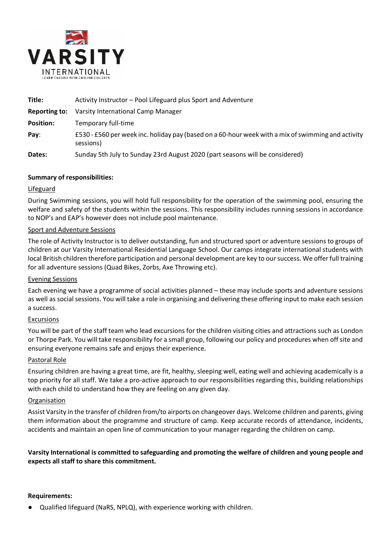

| Title:               | Activity Instructor – Pool Lifeguard plus Sport and Adventure                                                   |
|----------------------|-----------------------------------------------------------------------------------------------------------------|
| <b>Reporting to:</b> | Varsity International Camp Manager                                                                              |
| <b>Position:</b>     | Temporary full-time                                                                                             |
| Pay:                 | £530 - £560 per week inc. holiday pay (based on a 60-hour week with a mix of swimming and activity<br>sessions) |
| Dates:               | Sunday 5th July to Sunday 23rd August 2020 (part seasons will be considered)                                    |

## **Summary of responsibilities:**

## Lifeguard

During Swimming sessions, you will hold full responsibility for the operation of the swimming pool, ensuring the welfare and safety of the students within the sessions. This responsibility includes running sessions in accordance to NOP's and EAP's however does not include pool maintenance.

### Sport and Adventure Sessions

The role of Activity Instructor is to deliver outstanding, fun and structured sport or adventure sessions to groups of children at our Varsity International Residential Language School. Our camps integrate international students with local British children therefore participation and personal development are key to our success. We offer full training for all adventure sessions (Quad Bikes, Zorbs, Axe Throwing etc).

### Evening Sessions

Each evening we have a programme of social activities planned – these may include sports and adventure sessions as well as social sessions. You will take a role in organising and delivering these offering input to make each session a success.

### Excursions

You will be part of the staff team who lead excursions for the children visiting cities and attractions such as London or Thorpe Park. You will take responsibility for a small group, following our policy and procedures when off site and ensuring everyone remains safe and enjoys their experience.

### Pastoral Role

Ensuring children are having a great time, are fit, healthy, sleeping well, eating well and achieving academically is a top priority for all staff. We take a pro-active approach to our responsibilities regarding this, building relationships with each child to understand how they are feeling on any given day.

### Organisation

Assist Varsity in the transfer of children from/to airports on changeover days. Welcome children and parents, giving them information about the programme and structure of camp. Keep accurate records of attendance, incidents, accidents and maintain an open line of communication to your manager regarding the children on camp.

**Varsity International is committed to safeguarding and promoting the welfare of children and young people and expects all staff to share this commitment.**

### **Requirements:**

Qualified lifeguard (NaRS, NPLQ), with experience working with children.